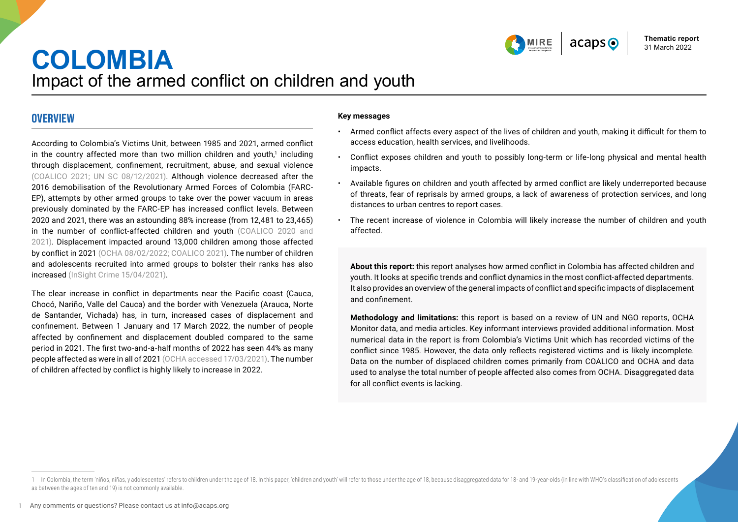

# **COLOMBIA** Impact of the armed conflict on children and youth

## **OVERVIEW**

According to Colombia's Victims Unit, between 1985 and 2021, armed conflict in the country affected more than two million children and youth, $^1$  including through displacement, confinement, recruitment, abuse, and sexual violence [\(COALICO 2021;](https://coalico.org/wp-content/uploads/2022/02/Boletin-ONCA-No.-26_ene_dic_2021.pdf) [UN SC 08/12/2021](https://reliefweb.int/sites/reliefweb.int/files/resources/SP_10.pdf)). Although violence decreased after the 2016 demobilisation of the Revolutionary Armed Forces of Colombia (FARC-EP), attempts by other armed groups to take over the power vacuum in areas previously dominated by the FARC-EP has increased conflict levels. Between 2020 and 2021, there was an astounding 88% increase (from 12,481 to 23,465) in the number of conflict-affected children and youth [\(COALICO 2020](https://coalico.org/wp-content/uploads/2021/03/Boletin-ONCA-No.-24.pdf) and [2021\)](https://coalico.org/wp-content/uploads/2022/02/Boletin-ONCA-No.-26_ene_dic_2021.pdf). Displacement impacted around 13,000 children among those affected by conflict in 2021 [\(OCHA 08/02/2022;](https://reliefweb.int/sites/reliefweb.int/files/resources/20220120_infografia_impacto_y_tendencias_humanitaria_diciembre_2021vfff_at.pdf) [COALICO 2021\)](https://coalico.org/wp-content/uploads/2022/02/Boletin-ONCA-No.-26_ene_dic_2021.pdf). The number of children and adolescents recruited into armed groups to bolster their ranks has also increased [\(InSight Crime 15/04/2021](https://insightcrime.org/investigations/colombia-ongoing-child-recruitment-crisis/)).

The clear increase in conflict in departments near the Pacific coast (Cauca, Chocó, Nariño, Valle del Cauca) and the border with Venezuela (Arauca, Norte de Santander, Vichada) has, in turn, increased cases of displacement and confinement. Between 1 January and 17 March 2022, the number of people affected by confinement and displacement doubled compared to the same period in 2021. The first two-and-a-half months of 2022 has seen 44% as many people affected as were in all of 2021 [\(OCHA accessed 17/03/2021\)](https://monitor.salahumanitaria.co/). The number of children affected by conflict is highly likely to increase in 2022.

#### **Key messages**

- Armed conflict affects every aspect of the lives of children and youth, making it difficult for them to access education, health services, and livelihoods.
- Conflict exposes children and youth to possibly long-term or life-long physical and mental health impacts.
- Available figures on children and youth affected by armed conflict are likely underreported because of threats, fear of reprisals by armed groups, a lack of awareness of protection services, and long distances to urban centres to report cases.
- The recent increase of violence in Colombia will likely increase the number of children and youth affected.

**About this report:** this report analyses how armed conflict in Colombia has affected children and youth. It looks at specific trends and conflict dynamics in the most conflict-affected departments. It also provides an overview of the general impacts of conflict and specific impacts of displacement and confinement.

**Methodology and limitations:** this report is based on a review of UN and NGO reports, OCHA Monitor data, and media articles. Key informant interviews provided additional information. Most numerical data in the report is from Colombia's Victims Unit which has recorded victims of the conflict since 1985. However, the data only reflects registered victims and is likely incomplete. Data on the number of displaced children comes primarily from COALICO and OCHA and data used to analyse the total number of people affected also comes from OCHA. Disaggregated data for all conflict events is lacking.

<sup>1</sup> In Colombia, the term 'niños, niñas, y adolescentes' refers to children under the age of 18. In this paper, 'children and youth' will refer to those under the age of 18, because disaggregated data for 18- and 19-year-old as between the ages of ten and 19) is not commonly available.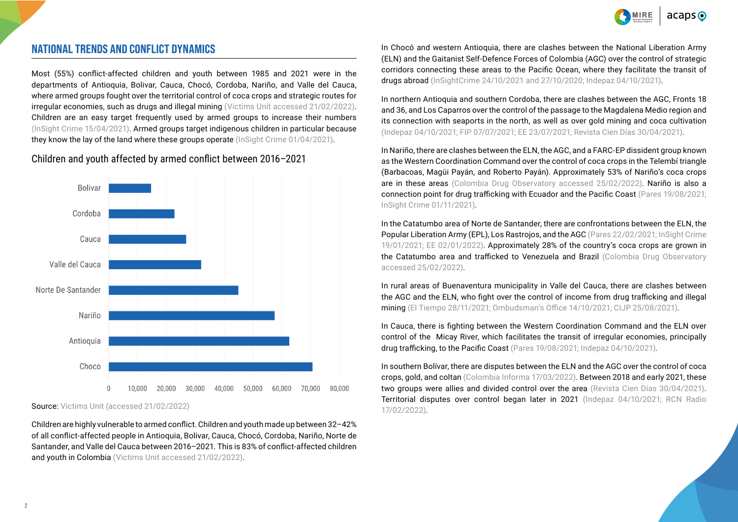

## **NATIONAL TRENDS AND CONFLICT DYNAMICS**

Most (55%) conflict-affected children and youth between 1985 and 2021 were in the departments of Antioquia, Bolivar, Cauca, Chocó, Cordoba, Nariño, and Valle del Cauca, where armed groups fought over the territorial control of coca crops and strategic routes for irregular economies, such as drugs and illegal mining ([Victims Unit accessed 21/02/2022](https://www.unidadvictimas.gov.co/es/registro-unico-de-victimas-ruv/37394)). Children are an easy target frequently used by armed groups to increase their numbers [\(InSight Crime 15/04/2021](https://insightcrime.org/investigations/colombia-ongoing-child-recruitment-crisis/)). Armed groups target indigenous children in particular because they know the lay of the land where these groups operate ([InSight Crime 01/04/2021\)](https://insightcrime.org/investigations/bajo-cauca-and-vaupes-colombias-child-recruitment-hotspots/).

Children and youth affected by armed conflict between 2016–2021



Source: [Victims Unit \(accessed 21/02/2022](https://www.unidadvictimas.gov.co/es/registro-unico-de-victimas-ruv/37394))

Children are highly vulnerable to armed conflict. Children and youth made up between 32–42% of all conflict-affected people in Antioquia, Bolivar, Cauca, Chocó, Cordoba, Nariño, Norte de Santander, and Valle del Cauca between 2016–2021. This is 83% of conflict-affected children and youth in Colombia [\(Victims Unit accessed 21/02/2022\)](https://www.unidadvictimas.gov.co/es/registro-unico-de-victimas-ruv/37394).

In Chocó and western Antioquia, there are clashes between the National Liberation Army (ELN) and the Gaitanist Self-Defence Forces of Colombia (AGC) over the control of strategic corridors connecting these areas to the Pacific Ocean, where they facilitate the transit of drugs abroad [\(InSightCrime 24/10/2021](https://insightcrime.org/colombia-organized-crime-news/urabenos-profile/) an[d 27/10/2020;](https://insightcrime.org/colombia-organized-crime-news/eln-profile/) [Indepaz 04/10/2021](http://www.indepaz.org.co/wp-content/uploads/2021/10/INFORME-DE-GRUPOS-2021.pdf)).

In northern Antioquia and southern Cordoba, there are clashes between the AGC, Fronts 18 and 36, and Los Caparros over the control of the passage to the Magdalena Medio region and its connection with seaports in the north, as well as over gold mining and coca cultivation [\(Indepaz 04/10/2021](http://www.indepaz.org.co/wp-content/uploads/2021/10/INFORME-DE-GRUPOS-2021.pdf); [FIP 07/07/2021;](https://ideaspaz.org/media/website/FIP_Infome_SegundaMarquetalia_Final_V7.pdf) [EE 23/07/2021;](https://www.elespectador.com/colombia/mas-regiones/la-guerra-que-se-recrudece-en-el-sur-de-cordoba/) [Revista Cien Días 30/04/2021](https://www.revistaciendiascinep.com/home/despues-de-las-farc-ep-los-cinco-conflictos-armados-activos-en-el-caribe-colombiano/)).

In Nariño, there are clashes between the ELN, the AGC, and a FARC-EP dissident group known as the Western Coordination Command over the control of coca crops in the Telembí triangle (Barbacoas, Magüi Payán, and Roberto Payán). Approximately 53% of Nariño's coca crops are in these areas [\(Colombia Drug Observatory accessed 25/02/2022](https://www.minjusticia.gov.co/programas-co/ODC/Paginas/SIDCO-departamento-municipio.aspx)). Nariño is also a connection point for drug trafficking with Ecuador and the Pacific Coast [\(Pares 19/08/2021;](https://e7c20b27-21c2-4f2b-9c38-a1a16422794e.usrfiles.com/ugd/e7c20b_d33aea1ed5b7406b95c1031d9ed79f5a.pdf) [InSight Crime 01/11/2021\)](https://es.insightcrime.org/noticias/se-puede-hablar-fin-clan-del-golfo-colombia/).

In the Catatumbo area of Norte de Santander, there are confrontations between the ELN, the Popular Liberation Army (EPL), Los Rastrojos, and the AGC ([Pares 22/02/2021;](https://www.pares.com.co/post/norte-de-santander-el-drama-de-vivir-bajo-fuego) InSight Crime [19/01/2021;](https://es.insightcrime.org/noticias/noticias-del-dia/nueva-alianza-criminal-combate-al-eln-en-la-frontera-colombia-venezuela/) [EE 02/01/2022](https://www.elespectador.com/colombia/norte-de-santander-otro-ano-sombrio/)). Approximately 28% of the country's coca crops are grown in the Catatumbo area and trafficked to Venezuela and Brazil [\(Colombia Drug Observatory](https://www.minjusticia.gov.co/programas-co/ODC/Paginas/SIDCO-departamento-municipio.aspx)  [accessed 25/02/2022](https://www.minjusticia.gov.co/programas-co/ODC/Paginas/SIDCO-departamento-municipio.aspx)).

In rural areas of Buenaventura municipality in Valle del Cauca, there are clashes between the AGC and the ELN, who fight over the control of income from drug trafficking and illegal mining [\(El Tiempo 28/11/2021;](https://www.eltiempo.com/colombia/cali/desplazamiento-forzado-debido-a-llegada-de-paramilitares-en-buenaventura-635401) [Ombudsman's Office 14/10/2021](https://alertasstg.blob.core.windows.net/alertas/024-21.pdf); [CIJP 25/08/2021\)](https://www.justiciaypazcolombia.com/asesinado-indigena-wounnan-confinamiento-y-riesgo-de-desplazamiento/).

In Cauca, there is fighting between the Western Coordination Command and the ELN over control of the Micay River, which facilitates the transit of irregular economies, principally drug trafficking, to the Pacific Coast ([Pares 19/08/2021](https://e7c20b27-21c2-4f2b-9c38-a1a16422794e.usrfiles.com/ugd/e7c20b_d33aea1ed5b7406b95c1031d9ed79f5a.pdf); [Indepaz 04/10/2021\)](http://www.indepaz.org.co/wp-content/uploads/2021/10/INFORME-DE-GRUPOS-2021.pdf).

In southern Bolívar, there are disputes between the ELN and the AGC over the control of coca crops, gold, and coltan [\(Colombia Informa 17/03/2022\)](https://www.colombiainforma.info/desplazamientos-masivos-por-incursion-paramilitar-en-el-sur-de-bolivar/). Between 2018 and early 2021, these two groups were allies and divided control over the area ([Revista Cien Días 30/04/2021](https://www.revistaciendiascinep.com/home/despues-de-las-farc-ep-los-cinco-conflictos-armados-activos-en-el-caribe-colombiano/)). Territorial disputes over control began later in 2021 [\(Indepaz 04/10/2021](http://www.indepaz.org.co/wp-content/uploads/2021/10/INFORME-DE-GRUPOS-2021.pdf); [RCN Radio](https://www.rcnradio.com/colombia/caribe/enfrentamientos-de-grupos-ilegales-al-sur-de-bolivar-han-generado-desplazamientos)  [17/02/2022\)](https://www.rcnradio.com/colombia/caribe/enfrentamientos-de-grupos-ilegales-al-sur-de-bolivar-han-generado-desplazamientos).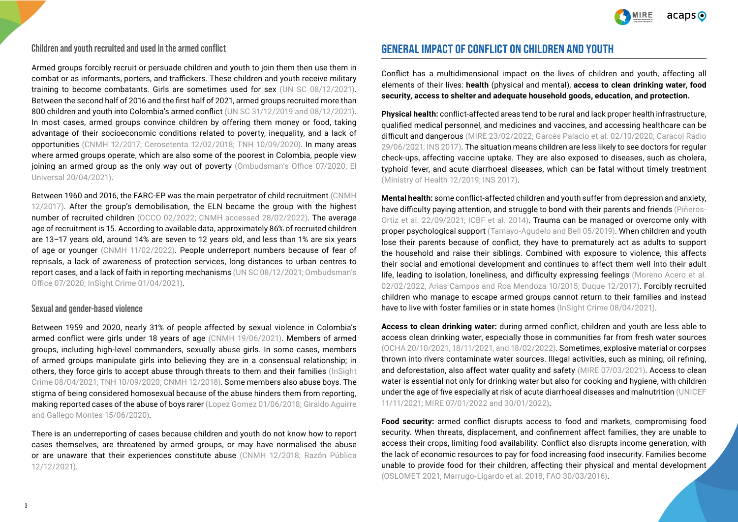

#### **Children and youth recruited and used in the armed conflict**

Armed groups forcibly recruit or persuade children and youth to join them then use them in combat or as informants, porters, and traffickers. These children and youth receive military training to become combatants. Girls are sometimes used for sex [\(UN SC 08/12/2021](https://reliefweb.int/sites/reliefweb.int/files/resources/SP_10.pdf)). Between the second half of 2016 and the first half of 2021, armed groups recruited more than 800 children and youth into Colombia's armed conflict [\(UN SC 31/12/2019](https://reliefweb.int/sites/reliefweb.int/files/resources/N2000035.pdf) and [08/12/2021](https://reliefweb.int/sites/reliefweb.int/files/resources/N2138022.pdf)). In most cases, armed groups convince children by offering them money or food, taking advantage of their socioeconomic conditions related to poverty, inequality, and a lack of opportunities [\(CNMH 12/2017](https://centrodememoriahistorica.gov.co/wp-content/uploads/2020/01/una_guerra-sin-edad.pdf); [Cerosetenta 12/02/2018;](https://cerosetenta.uniandes.edu.co/los-ninos-y-ninas-de-la-guerra/) [TNH 10/09/2020](https://www.thenewhumanitarian.org/news-feature/2020/09/10/Colombia-conflict-armed-groups-child-recruitment)). In many areas where armed groups operate, which are also some of the poorest in Colombia, people view joining an armed group as the only way out of poverty ([Ombudsman's Office 07/2020](https://www.defensoria.gov.co/public/pdf/Dinamica-reclutamiento-forzado-ni%C3%B1os-ni%C3%B1as-%20adolescentes-Colombia.pdf?g_show_in_browser=1); El [Universal 20/04/2021\)](https://www.eluniversal.com.co/colombia/el-panorama-de-reclutamiento-de-menores-en-colombia-NB4506690).

Between 1960 and 2016, the FARC-EP was the main perpetrator of child recruitment ([CNMH](https://centrodememoriahistorica.gov.co/wp-content/uploads/2020/01/una_guerra-sin-edad.pdf)  [12/2017\)](https://centrodememoriahistorica.gov.co/wp-content/uploads/2020/01/una_guerra-sin-edad.pdf). After the group's demobilisation, the ELN became the group with the highest number of recruited children [\(OCCO 02/2022](https://www.urosario.edu.co/Documentos/Facultad-de-Estudios-Internacionales-Politicos-y-U/OCCO/DOCUMENTOS_OCCO_4_La_ninez_reclutada.pdf); [CNMH accessed 28/02/2022\)](http://micrositios.centrodememoriahistorica.gov.co/observatorio/portal-de-datos/el-conflicto-en-cifras/reclutamiento-y-utilizacion-de-menores-de-18-anos/). The average age of recruitment is 15. According to available data, approximately 86% of recruited children are 13–17 years old, around 14% are seven to 12 years old, and less than 1% are six years of age or younger [\(CNMH 11/02/2022](https://centrodememoriahistorica.gov.co/dia-de-las-manos-rojas-que-no-haya-mas-ninos-ninas-y-adolescentes-reclutados-y-utilizados/)). People underreport numbers because of fear of reprisals, a lack of awareness of protection services, long distances to urban centres to report cases, and a lack of faith in reporting mechanisms ([UN SC 08/12/2021](https://reliefweb.int/sites/reliefweb.int/files/resources/SP_10.pdf); [Ombudsman's](https://www.defensoria.gov.co/public/pdf/Dinamica-reclutamiento-forzado-ni%C3%B1os-ni%C3%B1as-%20adolescentes-Colombia.pdf?g_show_in_browser=1)  [Office 07/2020](https://www.defensoria.gov.co/public/pdf/Dinamica-reclutamiento-forzado-ni%C3%B1os-ni%C3%B1as-%20adolescentes-Colombia.pdf?g_show_in_browser=1); [InSight Crime 01/04/2021](https://insightcrime.org/investigations/bajo-cauca-and-vaupes-colombias-child-recruitment-hotspots/)).

#### **Sexual and gender-based violence**

Between 1959 and 2020, nearly 31% of people affected by sexual violence in Colombia's armed conflict were girls under 18 years of age [\(CNMH 19/06/2021\)](https://centrodememoriahistorica.gov.co/un-30-de-las-victimas-de-violencia-sexual-en-el-conflicto-armado-son-ninas-o-adolescentes/#:~:text=Los%20datos%20del%20OMC%20muestran,%2C6%20%25%20del%20total). Members of armed groups, including high-level commanders, sexually abuse girls. In some cases, members of armed groups manipulate girls into believing they are in a consensual relationship; in others, they force girls to accept abuse through threats to them and their families [\(InSight](https://insightcrime.org/investigations/in-colombia-child-soldiers-play-many-roles/)  [Crime 08/04/2021](https://insightcrime.org/investigations/in-colombia-child-soldiers-play-many-roles/); [TNH 10/09/2020;](https://www.thenewhumanitarian.org/news-feature/2020/09/10/Colombia-conflict-armed-groups-child-recruitment) [CNMH 12/2018\)](http://centrodememoriahistorica.gov.co/wp-content/uploads/2020/02/memoria-historica-con-victimas-de-violencia-sexual.pdf). Some members also abuse boys. The stigma of being considered homosexual because of the abuse hinders them from reporting, making reported cases of the abuse of boys rarer ([Lopez Gomez 01/06/2018](https://www.revistacontroversia.com/index.php/controversia/article/view/1114); [Giraldo Aguirre](https://debatefeminista.cieg.unam.mx/df_ojs/index.php/debate_feminista/article/view/2208/1972)  [and Gallego Montes 15/06/2020](https://debatefeminista.cieg.unam.mx/df_ojs/index.php/debate_feminista/article/view/2208/1972)).

There is an underreporting of cases because children and youth do not know how to report cases themselves, are threatened by armed groups, or may have normalised the abuse or are unaware that their experiences constitute abuse [\(CNMH 12/2018](http://centrodememoriahistorica.gov.co/wp-content/uploads/2020/02/memoria-historica-con-victimas-de-violencia-sexual.pdf); [Razón Pública](https://razonpublica.com/la-violencia-sexual-conflicto-armado-asunto-urgente/)  [12/12/2021](https://razonpublica.com/la-violencia-sexual-conflicto-armado-asunto-urgente/)).

# **GENERAL IMPACT OF CONFLICT ON CHILDREN AND YOUTH**

Conflict has a multidimensional impact on the lives of children and youth, affecting all elements of their lives: **health** (physical and mental), **access to clean drinking water, food security, access to shelter and adequate household goods, education, and protection.**

**Physical health:** conflict-affected areas tend to be rural and lack proper health infrastructure, qualified medical personnel, and medicines and vaccines, and accessing healthcare can be difficult and dangerous ([MIRE 23/02/2022;](https://assessments.hpc.tools/assessment/evaluacion-rapida-de-necesidades-valle-del-cauca-buenaventura-mire) [Garcés Palacio et al. 02/10/2020;](https://revistas.javeriana.edu.co/index.php/gerepolsal/article/view/26965) [Caracol Radio](https://caracol.com.co/emisora/2021/06/29/neiva/1624968562_497909.html)  [29/06/2021;](https://caracol.com.co/emisora/2021/06/29/neiva/1624968562_497909.html) [INS 2017](https://www.ins.gov.co/Direcciones/ONS/Informes/9%20Consecuencias%20del%20Conflicto%20Armado%20en%20la%20Salud%20en%20Colombia.pdf)). The situation means children are less likely to see doctors for regular check-ups, affecting vaccine uptake. They are also exposed to diseases, such as cholera, typhoid fever, and acute diarrhoeal diseases, which can be fatal without timely treatment [\(Ministry of Health 12/2019;](https://www.minsalud.gov.co/sites/rid/Lists/BibliotecaDigital/RIDE/DE/PS/boletines-poblacionales-victimas.pdf) [INS 2017](https://www.ins.gov.co/Direcciones/ONS/Informes/9%20Consecuencias%20del%20Conflicto%20Armado%20en%20la%20Salud%20en%20Colombia.pdf)).

**Mental health:** some conflict-affected children and youth suffer from depression and anxiety, have difficulty paying attention, and struggle to bond with their parents and friends [\(Piñeros-](https://revistabiomedica.org/index.php/biomedica/article/view/5447/4948)[Ortiz et al. 22/09/2021](https://revistabiomedica.org/index.php/biomedica/article/view/5447/4948); [ICBF et al. 2014\)](https://www.hhri.org/es/publication/impacto-del-conflicto-armado-en-el-estado-psicosocial-de-ninos-ninas-y-adolescentes/). Trauma can be managed or overcome only with proper psychological support ([Tamayo-Agudelo and Bell 05/2019](https://www.ncbi.nlm.nih.gov/pmc/articles/PMC6520540/)). When children and youth lose their parents because of conflict, they have to prematurely act as adults to support the household and raise their siblings. Combined with exposure to violence, this affects their social and emotional development and continues to affect them well into their adult life, leading to isolation, loneliness, and difficulty expressing feelings ([Moreno Acero et al.](https://rcientificas.uninorte.edu.co/index.php/investigacion/article/view/14253/214421445737)  [02/02/2022;](https://rcientificas.uninorte.edu.co/index.php/investigacion/article/view/14253/214421445737) [Arias Campos and Roa Mendoza 10/2015](https://revistaprospectiva.univalle.edu.co/index.php/prospectiva/article/view/936/1056); [Duque 12/2017\)](https://www.sciencedirect.com/science/article/pii/S2352827316300891). Forcibly recruited children who manage to escape armed groups cannot return to their families and instead have to live with foster families or in state homes ([InSight Crime 08/04/2021](https://insightcrime.org/investigations/in-colombia-child-soldiers-play-many-roles/)).

**Access to clean drinking water:** during armed conflict, children and youth are less able to access clean drinking water, especially those in communities far from fresh water sources [\(OCHA 20/10/2021](https://www.humanitarianresponse.info/sites/www.humanitarianresponse.info/files/documents/files/20102021_alerta_confinamiento_turbo_antioquia_vf.pdf), [18/11/2021](https://www.humanitarianresponse.info/sites/www.humanitarianresponse.info/files/documents/files/15112021_alerta_restricciones_movilidad_sjguaviare_y_pto_concordia_vf.pdf), and [18/02/2022\)](https://www.humanitarianresponse.info/sites/www.humanitarianresponse.info/files/documents/files/180222_confinamiento_en_bajo_baudo_vf.pdf). Sometimes, explosive material or corpses thrown into rivers contaminate water sources. Illegal activities, such as mining, oil refining, and deforestation, also affect water quality and safety ([MIRE 07/03/2021](https://www.humanitarianresponse.info/en/operations/colombia/document/colombia-reporte-sectorial-agua-saneamiento-e-higiene-wash-y-prevenci%C3%B3n)). Access to clean water is essential not only for drinking water but also for cooking and hygiene, with children under the age of five especially at risk of acute diarrhoeal diseases and malnutrition ([UNICEF](https://www.unicef.org/colombia/historias/agua)  [11/11/2021;](https://www.unicef.org/colombia/historias/agua) [MIRE 07/01/2022](https://www.humanitarianresponse.info/sites/www.humanitarianresponse.info/files/documents/files/reporte_semestral_mire_oct2020_mar2021_.pdf) and [30/01/2022\)](https://assessments.hpc.tools/assessment/evaluacion-rapida-de-necesidades-arauca-arauquita-tame-fortul-y-saravena-arauca-mire).

**Food security:** armed conflict disrupts access to food and markets, compromising food security. When threats, displacement, and confinement affect families, they are unable to access their crops, limiting food availability. Conflict also disrupts income generation, with the lack of economic resources to pay for food increasing food insecurity. Families become unable to provide food for their children, affecting their physical and mental development [\(OSLOMET 2021](https://oda.oslomet.no/oda-xmlui/bitstream/handle/11250/2785850/SIFO%20Prosject%20report%207-2021%20Segura.pdf?sequence=1&isAllowed=y); [Marrugo-Ligardo et al. 2018](https://www.ripublication.com/ijaer18/ijaerv13n9_65.pdf); [FAO 30/03/2016\)](https://reliefweb.int/sites/reliefweb.int/files/resources/a-i5521e_0.pdf).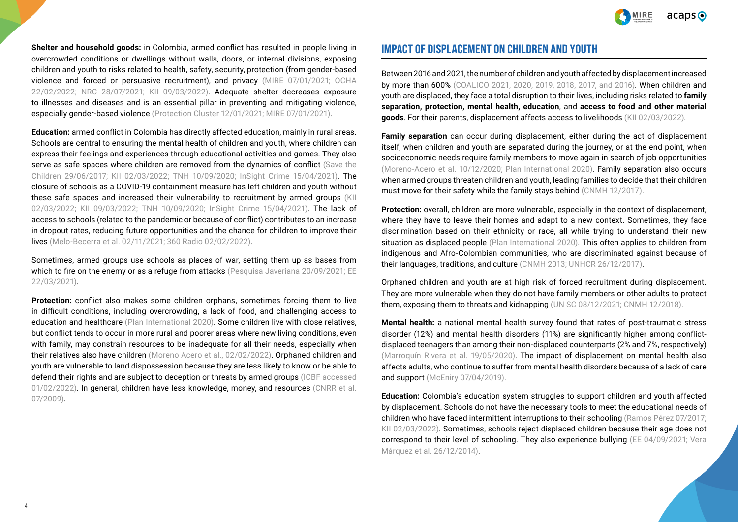$acabs$ 

**Shelter and household goods:** in Colombia, armed conflict has resulted in people living in overcrowded conditions or dwellings without walls, doors, or internal divisions, exposing children and youth to risks related to health, safety, security, protection (from gender-based violence and forced or persuasive recruitment), and privacy [\(MIRE 07/01/2021](https://www.humanitarianresponse.info/sites/www.humanitarianresponse.info/files/documents/files/reporte_semestral_mire_oct2020_mar2021_.pdf); [OCHA](https://www.humanitarianresponse.info/sites/www.humanitarianresponse.info/files/documents/files/colombia_hrp_2022_es.pdf)  [22/02/2022;](https://www.humanitarianresponse.info/sites/www.humanitarianresponse.info/files/documents/files/colombia_hrp_2022_es.pdf) [NRC 28/07/2021](https://assessments.hpc.tools/assessment/1f3391bf-b467-4b8f-9307-6dd9dd8178be); KII 09/03/2022). Adequate shelter decreases exposure to illnesses and diseases and is an essential pillar in preventing and mitigating violence, especially gender-based violence [\(Protection Cluster 12/01/2021](https://reliefweb.int/report/world/puntos-focales-violencia-basada-en-g-nero-en-albergues); [MIRE 07/01/2021\)](https://www.humanitarianresponse.info/sites/www.humanitarianresponse.info/files/documents/files/reporte_semestral_mire_oct2020_mar2021_.pdf).

**Education:** armed conflict in Colombia has directly affected education, mainly in rural areas. Schools are central to ensuring the mental health of children and youth, where children can express their feelings and experiences through educational activities and games. They also serve as safe spaces where children are removed from the dynamics of conflict (Save the [Children 29/06/2017](https://www.savethechildren.es/actualidad/las-escuelas-un-lugar-seguro-en-colombia); KII 02/03/2022; [TNH 10/09/2020;](https://www.thenewhumanitarian.org/news-feature/2020/09/10/Colombia-conflict-armed-groups-child-recruitment) [InSight Crime 15/04/2021\)](https://insightcrime.org/investigations/colombia-teachers-last-line-defense-against-forced-recruitment/). The closure of schools as a COVID-19 containment measure has left children and youth without these safe spaces and increased their vulnerability to recruitment by armed groups (KII 02/03/2022; KII 09/03/2022; [TNH 10/09/2020;](https://www.thenewhumanitarian.org/news-feature/2020/09/10/Colombia-conflict-armed-groups-child-recruitment) [InSight Crime 15/04/2021](https://insightcrime.org/investigations/colombia-teachers-last-line-defense-against-forced-recruitment/)). The lack of access to schools (related to the pandemic or because of conflict) contributes to an increase in dropout rates, reducing future opportunities and the chance for children to improve their lives ([Melo-Becerra et al. 02/11/2021](https://investiga.banrep.gov.co/es/be-1179#:~:text=Los%20indicadores%20sobre%20educaci%C3%B3n%20b%C3%A1sica,brechas%20en%20el%20rendimiento%20acad%C3%A9mico); [360 Radio 02/02/2022\)](https://360radio.com.co/desercion-escolar-en-colombia-educacion-2022/).

Sometimes, armed groups use schools as places of war, setting them up as bases from which to fire on the enemy or as a refuge from attacks ([Pesquisa Javeriana 20/09/2021](https://www.javeriana.edu.co/pesquisa/educacion-rural-en-colombia-conflicto-armado/); EE [22/03/2021](https://www.elespectador.com/colombia-20/paz-y-memoria/colegios-de-la-guerra-otras-victimas-del-conflicto-article/)).

**Protection:** conflict also makes some children orphans, sometimes forcing them to live in difficult conditions, including overcrowding, a lack of food, and challenging access to education and healthcare ([Plan International 2020\)](https://www.wikifplan.org/WIKIPLAN/1%201%20190%20-%20Situaci%C3%B3n%20de%20la%20ni%C3%B1ez%20afectada%20por%20la%20violencia-correcion_compressed.pdf). Some children live with close relatives, but conflict tends to occur in more rural and poorer areas where new living conditions, even with family, may constrain resources to be inadequate for all their needs, especially when their relatives also have children ([Moreno Acero et al., 02/02/2022](https://rcientificas.uninorte.edu.co/index.php/investigacion/article/view/14253/214421445737)). Orphaned children and youth are vulnerable to land dispossession because they are less likely to know or be able to defend their rights and are subject to deception or threats by armed groups (ICBF accessed [01/02/2022](https://www.icbf.gov.co/sites/default/files/abc-vicitmas-conflicto-armado-huerfanos.pdf)). In general, children have less knowledge, money, and resources (CNRR et al. [07/2009\)](https://centrodememoriahistorica.gov.co/wp-content/uploads/2020/02/el-despojo-de-tierras-y-territorios.pdf).

## **IMPACT OF DISPLACEMENT ON CHILDREN AND YOUTH**

Between 2016 and 2021, the number of children and youth affected by displacement increased by more than 600% [\(COALICO 2021,](https://coalico.org/wp-content/uploads/2022/02/Boletin-ONCA-No.-26_ene_dic_2021.pdf) [2020](https://coalico.org/wp-content/uploads/2021/03/Boletin-ONCA-No.-24.pdf), [2019,](https://coalico.org/wp-content/uploads/2020/04/Bolet%c3%adn-ONCA-No.-22.pdf) [2018](https://coalico.org/wp-content/uploads/2020/04/Bolet%c3%adn-No.-_ONCA-20-1.pdf), [2017,](https://coalico.org/wp-content/uploads/2020/04/Boleti%cc%81n-No.-18_ONCA_15_03_2018-1.pdf) and [2016](https://coalico.org/wp-content/uploads/2020/04/Boletin_No_16.pdf)). When children and youth are displaced, they face a total disruption to their lives, including risks related to **family separation, protection, mental health, education**, and **access to food and other material goods**. For their parents, displacement affects access to livelihoods (KII 02/03/2022).

**Family separation** can occur during displacement, either during the act of displacement itself, when children and youth are separated during the journey, or at the end point, when socioeconomic needs require family members to move again in search of job opportunities [\(Moreno-Acero et al. 10/12/2020;](http://www.scielo.org.co/pdf/entra/v17n1/2539-0279-entra-17-01-98.pdf) [Plan International 2020\)](https://www.wikifplan.org/WIKIPLAN/1%201%20190%20-%20Situaci%C3%B3n%20de%20la%20ni%C3%B1ez%20afectada%20por%20la%20violencia-correcion_compressed.pdf). Family separation also occurs when armed groups threaten children and youth, leading families to decide that their children must move for their safety while the family stays behind [\(CNMH 12/2017](http://www.centrodememoriahistorica.gov.co/descargas/informes2018/una_guerra-sin-edad.pdf)).

**Protection:** overall, children are more vulnerable, especially in the context of displacement, where they have to leave their homes and adapt to a new context. Sometimes, they face discrimination based on their ethnicity or race, all while trying to understand their new situation as displaced people ([Plan International 2020](https://www.wikifplan.org/WIKIPLAN/1%201%20190%20-%20Situaci%C3%B3n%20de%20la%20ni%C3%B1ez%20afectada%20por%20la%20violencia-correcion_compressed.pdf)). This often applies to children from indigenous and Afro-Colombian communities, who are discriminated against because of their languages, traditions, and culture ([CNMH 2013;](https://www.centrodememoriahistorica.gov.co/descargas/informes2013/bastaYa/basta-ya-colombia-memorias-de-guerra-y-dignidad-2016.pdf) [UNHCR 26/12/2017\)](https://www.acnur.org/noticias/historia/2017/12/5af2e9d16f/desplazados-de-sus-tierras-los-awas-de-colombia-luchan-por-su-sobrevivencia.html).

Orphaned children and youth are at high risk of forced recruitment during displacement. They are more vulnerable when they do not have family members or other adults to protect them, exposing them to threats and kidnapping [\(UN SC 08/12/2021](https://reliefweb.int/sites/reliefweb.int/files/resources/SP_10.pdf); [CNMH 12/2018](http://centrodememoriahistorica.gov.co/wp-content/uploads/2020/02/memoria-historica-con-victimas-de-violencia-sexual.pdf)).

**Mental health:** a national mental health survey found that rates of post-traumatic stress disorder (12%) and mental health disorders (11%) are significantly higher among conflictdisplaced teenagers than among their non-displaced counterparts (2% and 7%, respectively) [\(Marroquín Rivera et al. 19/05/2020\)](https://capmh.biomedcentral.com/articles/10.1186/s13034-020-00327-5). The impact of displacement on mental health also affects adults, who continue to suffer from mental health disorders because of a lack of care and support ([McEniry 07/04/2019](https://www.ncbi.nlm.nih.gov/pmc/articles/PMC6396198/)).

**Education:** Colombia's education system struggles to support children and youth affected by displacement. Schools do not have the necessary tools to meet the educational needs of children who have faced intermittent interruptions to their schooling ([Ramos Pérez 07/2017;](https://www.tdx.cat/bitstream/handle/10803/458020/jcrp1de1.pdf?sequence) KII 02/03/2022). Sometimes, schools reject displaced children because their age does not correspond to their level of schooling. They also experience bullying [\(EE 04/09/2021;](https://www.elespectador.com/colombia-20/conflicto/que-pasa-con-la-educacion-de-los-ninos-y-ninas-desplazados-por-el-conflicto/) [Vera](https://www.sciencedirect.com/science/article/pii/S018526981470635X)  [Márquez et al. 26/12/2014](https://www.sciencedirect.com/science/article/pii/S018526981470635X)).